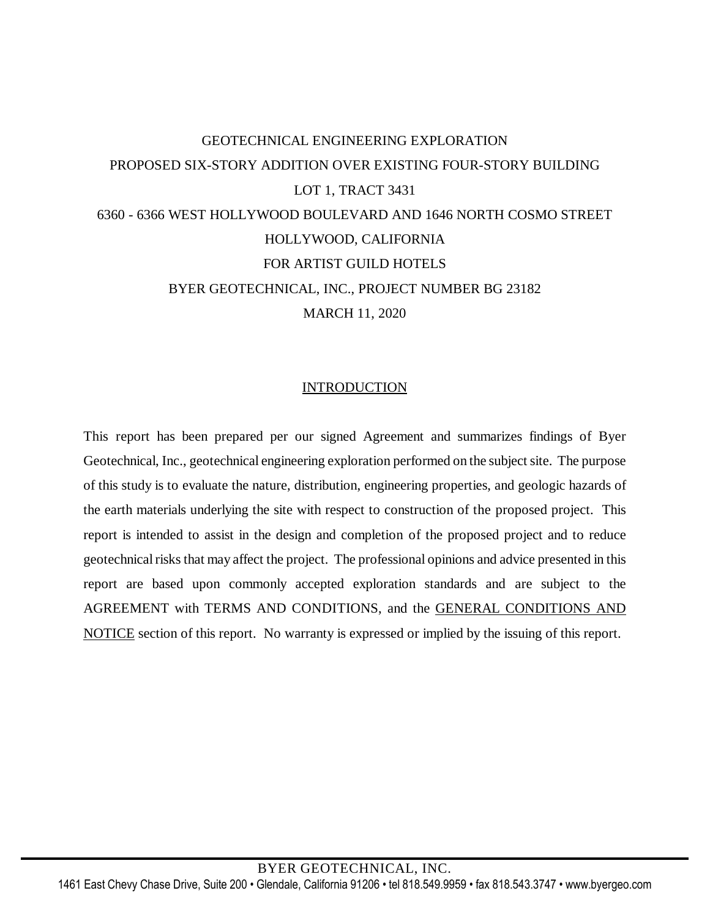# GEOTECHNICAL ENGINEERING EXPLORATION PROPOSED SIX-STORY ADDITION OVER EXISTING FOUR-STORY BUILDING LOT 1, TRACT 3431 6360 - 6366 WEST HOLLYWOOD BOULEVARD AND 1646 NORTH COSMO STREET HOLLYWOOD, CALIFORNIA FOR ARTIST GUILD HOTELS BYER GEOTECHNICAL, INC., PROJECT NUMBER BG 23182 MARCH 11, 2020

### INTRODUCTION

This report has been prepared per our signed Agreement and summarizes findings of Byer Geotechnical, Inc., geotechnical engineering exploration performed on the subject site. The purpose of this study is to evaluate the nature, distribution, engineering properties, and geologic hazards of the earth materials underlying the site with respect to construction of the proposed project. This report is intended to assist in the design and completion of the proposed project and to reduce geotechnical risks that may affect the project. The professional opinions and advice presented in this report are based upon commonly accepted exploration standards and are subject to the AGREEMENT with TERMS AND CONDITIONS, and the GENERAL CONDITIONS AND NOTICE section of this report. No warranty is expressed or implied by the issuing of this report.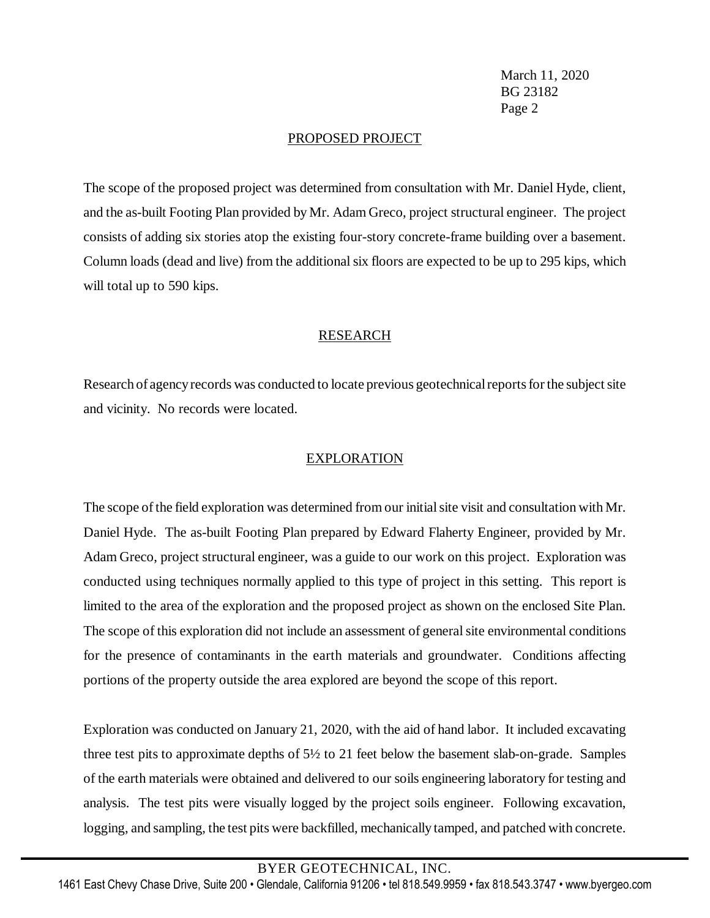### PROPOSED PROJECT

The scope of the proposed project was determined from consultation with Mr. Daniel Hyde, client, and the as-built Footing Plan provided by Mr. Adam Greco, project structural engineer. The project consists of adding six stories atop the existing four-story concrete-frame building over a basement. Column loads (dead and live) from the additional six floors are expected to be up to 295 kips, which will total up to 590 kips.

# RESEARCH

Research of agency records was conducted to locate previous geotechnical reports for the subject site and vicinity. No records were located.

### EXPLORATION

The scope of the field exploration was determined from our initial site visit and consultation with Mr. Daniel Hyde. The as-built Footing Plan prepared by Edward Flaherty Engineer, provided by Mr. Adam Greco, project structural engineer, was a guide to our work on this project. Exploration was conducted using techniques normally applied to this type of project in this setting. This report is limited to the area of the exploration and the proposed project as shown on the enclosed Site Plan. The scope of this exploration did not include an assessment of general site environmental conditions for the presence of contaminants in the earth materials and groundwater. Conditions affecting portions of the property outside the area explored are beyond the scope of this report.

Exploration was conducted on January 21, 2020, with the aid of hand labor. It included excavating three test pits to approximate depths of 5½ to 21 feet below the basement slab-on-grade. Samples of the earth materials were obtained and delivered to our soils engineering laboratory for testing and analysis. The test pits were visually logged by the project soils engineer. Following excavation, logging, and sampling, the test pits were backfilled, mechanically tamped, and patched with concrete.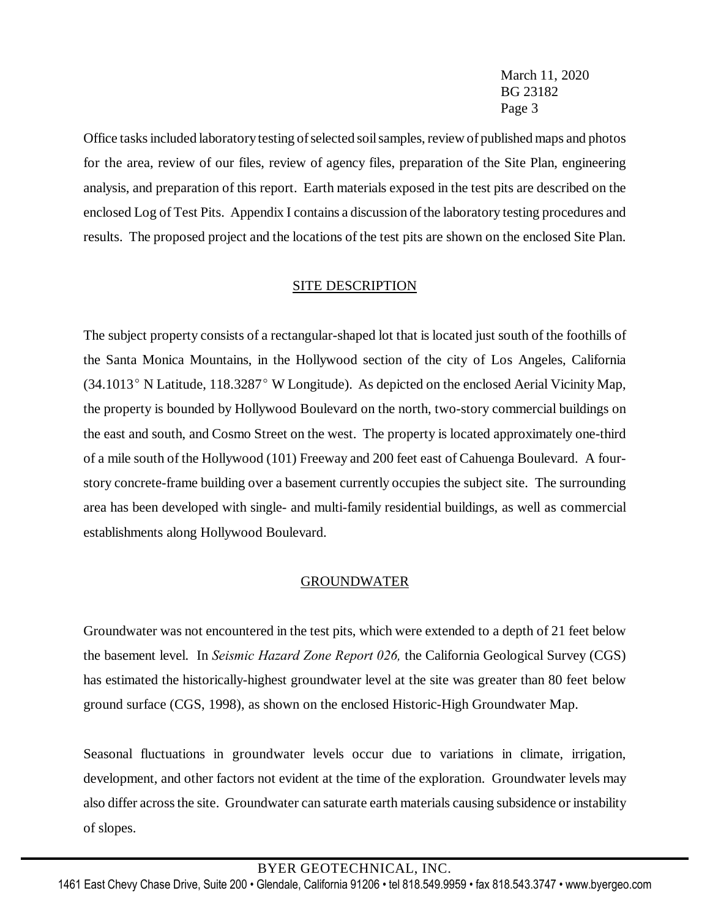Office tasksincluded laboratorytesting ofselected soilsamples, review of published maps and photos for the area, review of our files, review of agency files, preparation of the Site Plan, engineering analysis, and preparation of this report. Earth materials exposed in the test pits are described on the enclosed Log of Test Pits. Appendix I contains a discussion of the laboratory testing procedures and results. The proposed project and the locations of the test pits are shown on the enclosed Site Plan.

### SITE DESCRIPTION

The subject property consists of a rectangular-shaped lot that is located just south of the foothills of the Santa Monica Mountains, in the Hollywood section of the city of Los Angeles, California  $(34.1013°$  N Latitude, 118.3287° W Longitude). As depicted on the enclosed Aerial Vicinity Map, the property is bounded by Hollywood Boulevard on the north, two-story commercial buildings on the east and south, and Cosmo Street on the west. The property is located approximately one-third of a mile south of the Hollywood (101) Freeway and 200 feet east of Cahuenga Boulevard. A fourstory concrete-frame building over a basement currently occupies the subject site. The surrounding area has been developed with single- and multi-family residential buildings, as well as commercial establishments along Hollywood Boulevard.

### GROUNDWATER

Groundwater was not encountered in the test pits, which were extended to a depth of 21 feet below the basement level. In *Seismic Hazard Zone Report 026,* the California Geological Survey (CGS) has estimated the historically-highest groundwater level at the site was greater than 80 feet below ground surface (CGS, 1998), as shown on the enclosed Historic-High Groundwater Map.

Seasonal fluctuations in groundwater levels occur due to variations in climate, irrigation, development, and other factors not evident at the time of the exploration. Groundwater levels may also differ acrossthe site. Groundwater can saturate earth materials causing subsidence or instability of slopes.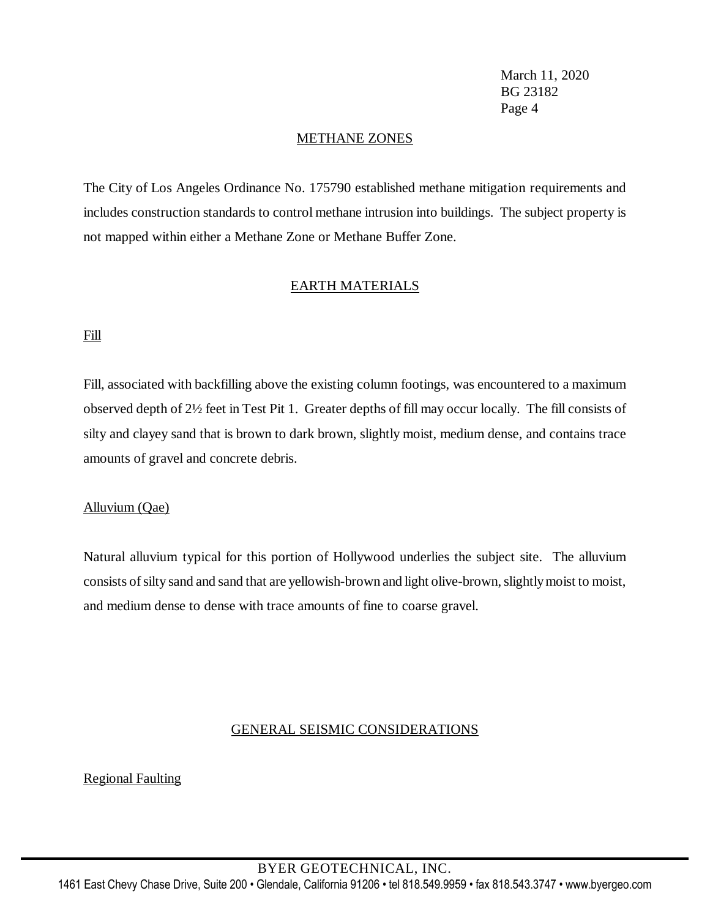### METHANE ZONES

The City of Los Angeles Ordinance No. 175790 established methane mitigation requirements and includes construction standards to control methane intrusion into buildings. The subject property is not mapped within either a Methane Zone or Methane Buffer Zone.

### EARTH MATERIALS

### Fill

Fill, associated with backfilling above the existing column footings, was encountered to a maximum observed depth of 2½ feet in Test Pit 1. Greater depths of fill may occur locally. The fill consists of silty and clayey sand that is brown to dark brown, slightly moist, medium dense, and contains trace amounts of gravel and concrete debris.

### Alluvium (Qae)

Natural alluvium typical for this portion of Hollywood underlies the subject site. The alluvium consists of silty sand and sand that are yellowish-brown and light olive-brown, slightly moist to moist, and medium dense to dense with trace amounts of fine to coarse gravel.

### GENERAL SEISMIC CONSIDERATIONS

### Regional Faulting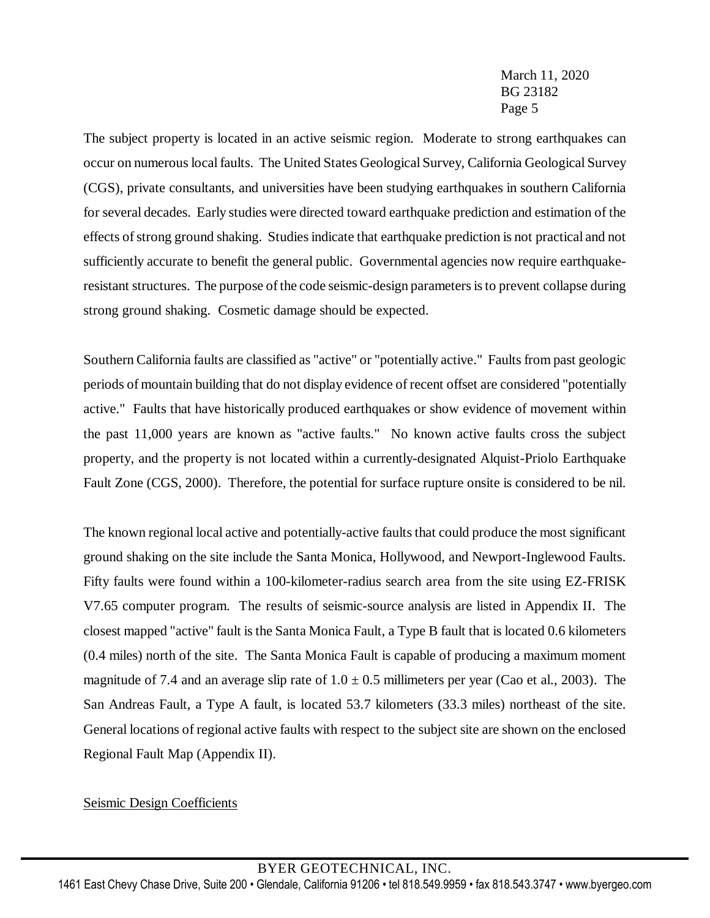The subject property is located in an active seismic region. Moderate to strong earthquakes can occur on numerous local faults. The United States Geological Survey, California Geological Survey (CGS), private consultants, and universities have been studying earthquakes in southern California for several decades. Early studies were directed toward earthquake prediction and estimation of the effects of strong ground shaking. Studies indicate that earthquake prediction is not practical and not sufficiently accurate to benefit the general public. Governmental agencies now require earthquakeresistant structures. The purpose of the code seismic-design parameters is to prevent collapse during strong ground shaking. Cosmetic damage should be expected.

Southern California faults are classified as "active" or "potentially active." Faults from past geologic periods of mountain building that do not display evidence of recent offset are considered "potentially active." Faults that have historically produced earthquakes or show evidence of movement within the past 11,000 years are known as "active faults." No known active faults cross the subject property, and the property is not located within a currently-designated Alquist-Priolo Earthquake Fault Zone (CGS, 2000). Therefore, the potential for surface rupture onsite is considered to be nil.

The known regional local active and potentially-active faults that could produce the most significant ground shaking on the site include the Santa Monica, Hollywood, and Newport-Inglewood Faults. Fifty faults were found within a 100-kilometer-radius search area from the site using EZ-FRISK V7.65 computer program. The results of seismic-source analysis are listed in Appendix II. The closest mapped "active" fault isthe Santa Monica Fault, a Type B fault that is located 0.6 kilometers (0.4 miles) north of the site. The Santa Monica Fault is capable of producing a maximum moment magnitude of 7.4 and an average slip rate of  $1.0 \pm 0.5$  millimeters per year (Cao et al., 2003). The San Andreas Fault, a Type A fault, is located 53.7 kilometers (33.3 miles) northeast of the site. General locations of regional active faults with respect to the subject site are shown on the enclosed Regional Fault Map (Appendix II).

# Seismic Design Coefficients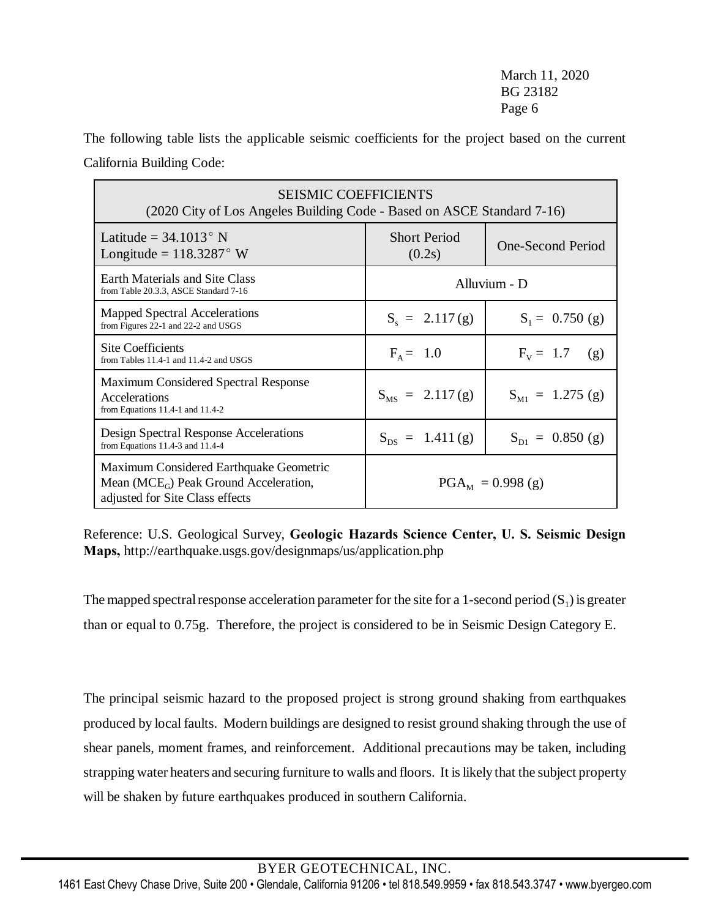The following table lists the applicable seismic coefficients for the project based on the current California Building Code:

| <b>SEISMIC COEFFICIENTS</b><br>(2020 City of Los Angeles Building Code - Based on ASCE Standard 7-16)                    |                                       |                          |  |  |  |  |
|--------------------------------------------------------------------------------------------------------------------------|---------------------------------------|--------------------------|--|--|--|--|
| Latitude = $34.1013^{\circ}$ N<br>Longitude = $118.3287^{\circ}$ W                                                       | <b>Short Period</b><br>(0.2s)         | <b>One-Second Period</b> |  |  |  |  |
| Earth Materials and Site Class<br>from Table 20.3.3, ASCE Standard 7-16                                                  | Alluvium - D                          |                          |  |  |  |  |
| Mapped Spectral Accelerations<br>from Figures 22-1 and 22-2 and USGS                                                     | $S_s = 2.117(g)$<br>$S_1 = 0.750$ (g) |                          |  |  |  |  |
| Site Coefficients<br>from Tables 11.4-1 and 11.4-2 and USGS                                                              | $F_{\Delta} = 1.0$                    | $F_v = 1.7$ (g)          |  |  |  |  |
| Maximum Considered Spectral Response<br>Accelerations<br>from Equations $11.4-1$ and $11.4-2$                            | $S_{MS} = 2.117(g)$                   | $S_{M1} = 1.275$ (g)     |  |  |  |  |
| Design Spectral Response Accelerations<br>from Equations $11.4-3$ and $11.4-4$                                           | $S_{DS} = 1.411(g)$                   | $S_{D1} = 0.850$ (g)     |  |  |  |  |
| Maximum Considered Earthquake Geometric<br>Mean ( $MCE_G$ ) Peak Ground Acceleration,<br>adjusted for Site Class effects |                                       | $PGA_M = 0.998$ (g)      |  |  |  |  |

Reference: U.S. Geological Survey, **Geologic Hazards Science Center, U. S. Seismic Design Maps,** http://earthquake.usgs.gov/designmaps/us/application.php

The mapped spectral response acceleration parameter for the site for a 1-second period  $(S_1)$  is greater than or equal to 0.75g. Therefore, the project is considered to be in Seismic Design Category E.

The principal seismic hazard to the proposed project is strong ground shaking from earthquakes produced by local faults. Modern buildings are designed to resist ground shaking through the use of shear panels, moment frames, and reinforcement. Additional precautions may be taken, including strapping water heaters and securing furniture to walls and floors. It is likely that the subject property will be shaken by future earthquakes produced in southern California.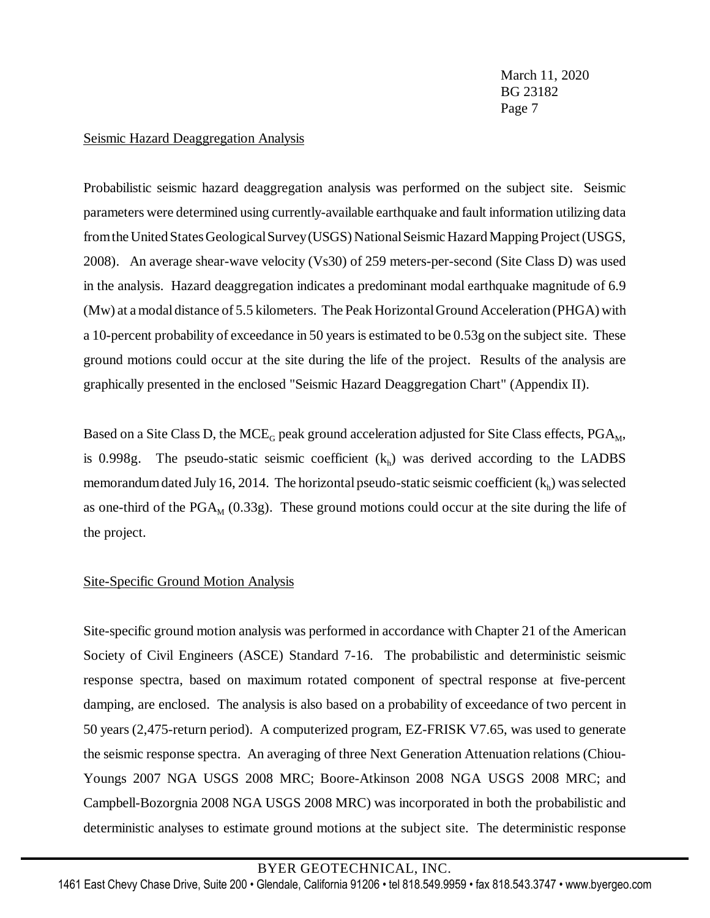#### Seismic Hazard Deaggregation Analysis

Probabilistic seismic hazard deaggregation analysis was performed on the subject site. Seismic parameters were determined using currently-available earthquake and fault information utilizing data from the United States Geological Survey (USGS) National Seismic Hazard Mapping Project (USGS, 2008). An average shear-wave velocity (Vs30) of 259 meters-per-second (Site Class D) was used in the analysis. Hazard deaggregation indicates a predominant modal earthquake magnitude of 6.9 (Mw) at a modaldistance of 5.5 kilometers. The Peak Horizontal Ground Acceleration (PHGA) with a 10-percent probability of exceedance in 50 yearsis estimated to be 0.53g on the subject site. These ground motions could occur at the site during the life of the project. Results of the analysis are graphically presented in the enclosed "Seismic Hazard Deaggregation Chart" (Appendix II).

Based on a Site Class D, the MCE<sub>G</sub> peak ground acceleration adjusted for Site Class effects, PGA<sub>M</sub>, is 0.998g. The pseudo-static seismic coefficient  $(k<sub>h</sub>)$  was derived according to the LADBS memorandum dated July 16, 2014. The horizontal pseudo-static seismic coefficient  $(k_h)$  was selected as one-third of the  $PGA_M$  (0.33g). These ground motions could occur at the site during the life of the project.

### Site-Specific Ground Motion Analysis

Site-specific ground motion analysis was performed in accordance with Chapter 21 of the American Society of Civil Engineers (ASCE) Standard 7-16. The probabilistic and deterministic seismic response spectra, based on maximum rotated component of spectral response at five-percent damping, are enclosed. The analysis is also based on a probability of exceedance of two percent in 50 years (2,475-return period). A computerized program, EZ-FRISK V7.65, was used to generate the seismic response spectra. An averaging of three Next Generation Attenuation relations (Chiou-Youngs 2007 NGA USGS 2008 MRC; Boore-Atkinson 2008 NGA USGS 2008 MRC; and Campbell-Bozorgnia 2008 NGA USGS 2008 MRC) was incorporated in both the probabilistic and deterministic analyses to estimate ground motions at the subject site. The deterministic response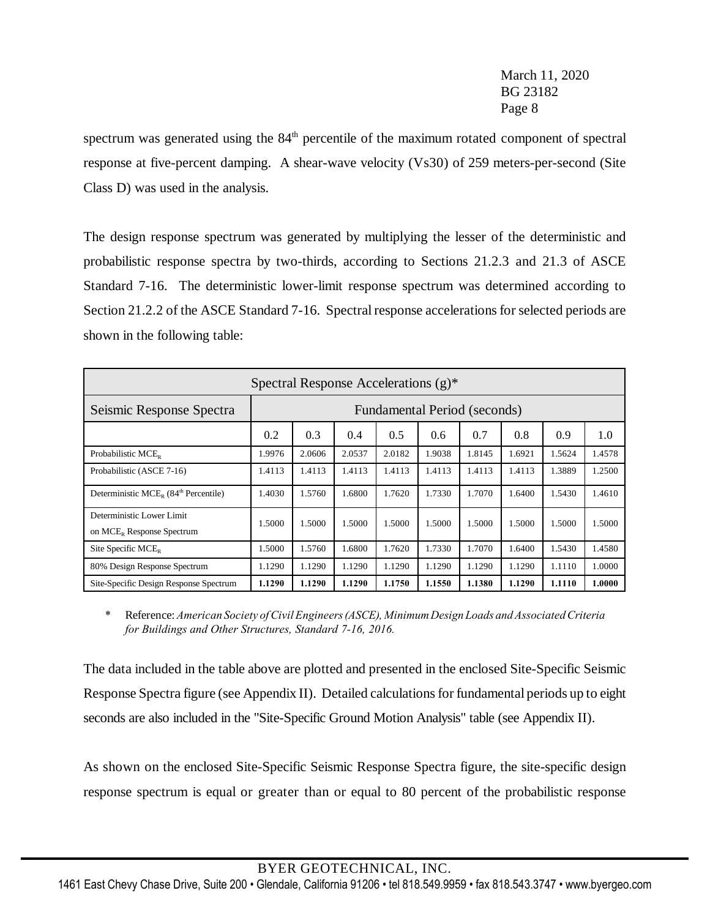spectrum was generated using the  $84<sup>th</sup>$  percentile of the maximum rotated component of spectral response at five-percent damping. A shear-wave velocity (Vs30) of 259 meters-per-second (Site Class D) was used in the analysis.

The design response spectrum was generated by multiplying the lesser of the deterministic and probabilistic response spectra by two-thirds, according to Sections 21.2.3 and 21.3 of ASCE Standard 7-16. The deterministic lower-limit response spectrum was determined according to Section 21.2.2 of the ASCE Standard 7-16. Spectral response accelerations for selected periods are shown in the following table:

| Spectral Response Accelerations $(g)^*$                   |                              |        |        |        |        |        |        |        |        |
|-----------------------------------------------------------|------------------------------|--------|--------|--------|--------|--------|--------|--------|--------|
| Seismic Response Spectra                                  | Fundamental Period (seconds) |        |        |        |        |        |        |        |        |
|                                                           | 0.2                          | 0.3    | 0.4    | 0.5    | 0.6    | 0.7    | 0.8    | 0.9    | 1.0    |
| Probabilistic MCE <sub>p</sub>                            | 1.9976                       | 2.0606 | 2.0537 | 2.0182 | 1.9038 | 1.8145 | 1.6921 | 1.5624 | 1.4578 |
| Probabilistic (ASCE 7-16)                                 | 1.4113                       | 1.4113 | 1.4113 | 1.4113 | 1.4113 | 1.4113 | 1.4113 | 1.3889 | 1.2500 |
| Deterministic MCE <sub>p</sub> $(84th$ Percentile)        | 1.4030                       | 1.5760 | 1.6800 | 1.7620 | 1.7330 | 1.7070 | 1.6400 | 1.5430 | 1.4610 |
| Deterministic Lower Limit<br>on $MCE_R$ Response Spectrum | .5000                        | 1.5000 | 1.5000 | 1.5000 | 1.5000 | 1.5000 | 1.5000 | 1.5000 | 1.5000 |
| Site Specific $MCE_R$                                     | .5000                        | 1.5760 | 1.6800 | 1.7620 | 1.7330 | 1.7070 | 1.6400 | 1.5430 | 1.4580 |
| 80% Design Response Spectrum                              | 1.1290                       | 1.1290 | 1.1290 | 1.1290 | 1.1290 | 1.1290 | 1.1290 | 1.1110 | 1.0000 |
| Site-Specific Design Response Spectrum                    | 1.1290                       | 1.1290 | 1.1290 | 1.1750 | 1.1550 | 1.1380 | 1.1290 | 1.1110 | 1.0000 |

*\** Reference:*American Society ofCivilEngineers(ASCE), Minimum Design Loads and Associated Criteria for Buildings and Other Structures, Standard 7-16, 2016.*

The data included in the table above are plotted and presented in the enclosed Site-Specific Seismic Response Spectra figure (see Appendix II). Detailed calculations for fundamental periods up to eight seconds are also included in the "Site-Specific Ground Motion Analysis" table (see Appendix II).

As shown on the enclosed Site-Specific Seismic Response Spectra figure, the site-specific design response spectrum is equal or greater than or equal to 80 percent of the probabilistic response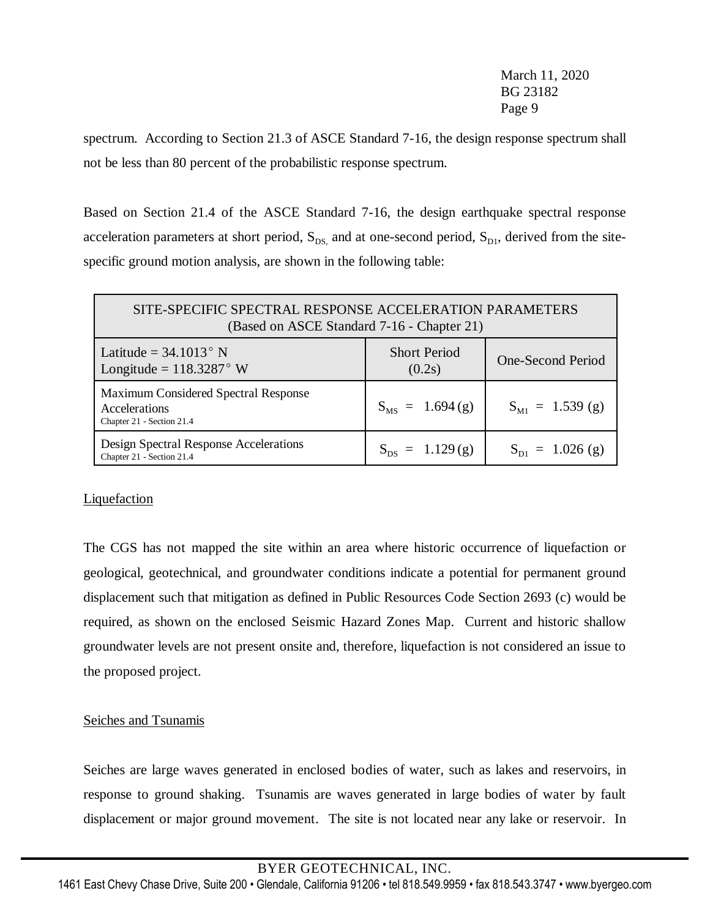spectrum. According to Section 21.3 of ASCE Standard 7-16, the design response spectrum shall not be less than 80 percent of the probabilistic response spectrum.

Based on Section 21.4 of the ASCE Standard 7-16, the design earthquake spectral response acceleration parameters at short period,  $S_{DS}$  and at one-second period,  $S_{D1}$ , derived from the sitespecific ground motion analysis, are shown in the following table:

| SITE-SPECIFIC SPECTRAL RESPONSE ACCELERATION PARAMETERS<br>(Based on ASCE Standard 7-16 - Chapter 21) |                               |                          |  |  |  |  |
|-------------------------------------------------------------------------------------------------------|-------------------------------|--------------------------|--|--|--|--|
| Latitude = $34.1013^{\circ}$ N<br>Longitude = $118.3287^{\circ}$ W                                    | <b>Short Period</b><br>(0.2s) | <b>One-Second Period</b> |  |  |  |  |
| Maximum Considered Spectral Response<br>Accelerations<br>Chapter 21 - Section 21.4                    | $S_{MS} = 1.694(g)$           | $S_{M1} = 1.539$ (g)     |  |  |  |  |
| Design Spectral Response Accelerations<br>Chapter 21 - Section 21.4                                   | $S_{DS} = 1.129(g)$           | $S_{D1} = 1.026$ (g)     |  |  |  |  |

# **Liquefaction**

The CGS has not mapped the site within an area where historic occurrence of liquefaction or geological, geotechnical, and groundwater conditions indicate a potential for permanent ground displacement such that mitigation as defined in Public Resources Code Section 2693 (c) would be required, as shown on the enclosed Seismic Hazard Zones Map. Current and historic shallow groundwater levels are not present onsite and, therefore, liquefaction is not considered an issue to the proposed project.

# Seiches and Tsunamis

Seiches are large waves generated in enclosed bodies of water, such as lakes and reservoirs, in response to ground shaking. Tsunamis are waves generated in large bodies of water by fault displacement or major ground movement. The site is not located near any lake or reservoir. In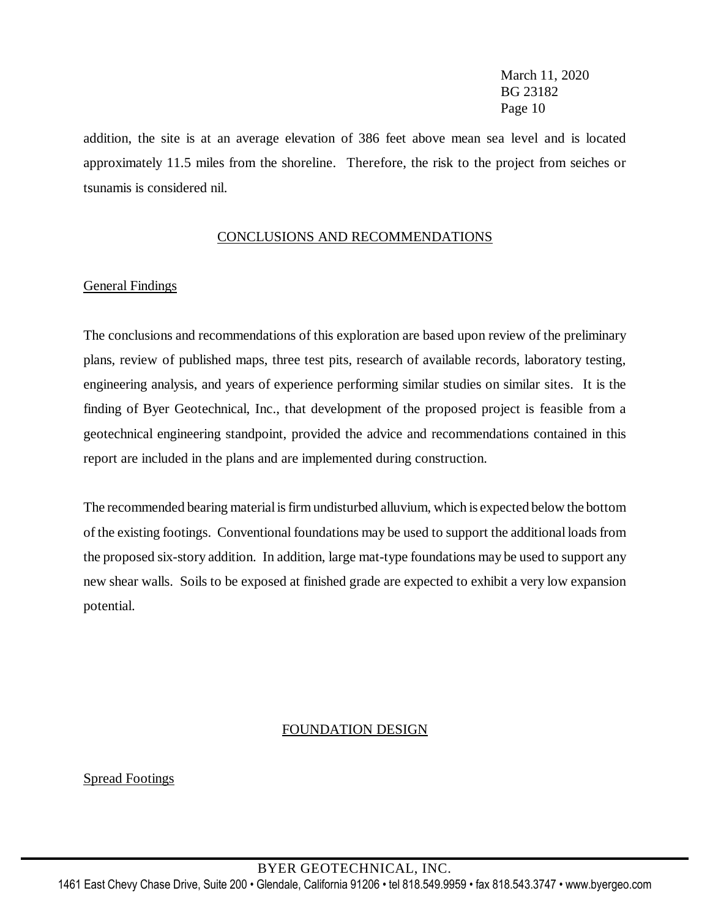addition, the site is at an average elevation of 386 feet above mean sea level and is located approximately 11.5 miles from the shoreline. Therefore, the risk to the project from seiches or tsunamis is considered nil.

### CONCLUSIONS AND RECOMMENDATIONS

### General Findings

The conclusions and recommendations of this exploration are based upon review of the preliminary plans, review of published maps, three test pits, research of available records, laboratory testing, engineering analysis, and years of experience performing similar studies on similar sites. It is the finding of Byer Geotechnical, Inc., that development of the proposed project is feasible from a geotechnical engineering standpoint, provided the advice and recommendations contained in this report are included in the plans and are implemented during construction.

The recommended bearing material isfirmundisturbed alluvium, which is expected below the bottom of the existing footings. Conventional foundations may be used to support the additional loads from the proposed six-story addition. In addition, large mat-type foundations may be used to support any new shear walls. Soils to be exposed at finished grade are expected to exhibit a very low expansion potential.

### FOUNDATION DESIGN

Spread Footings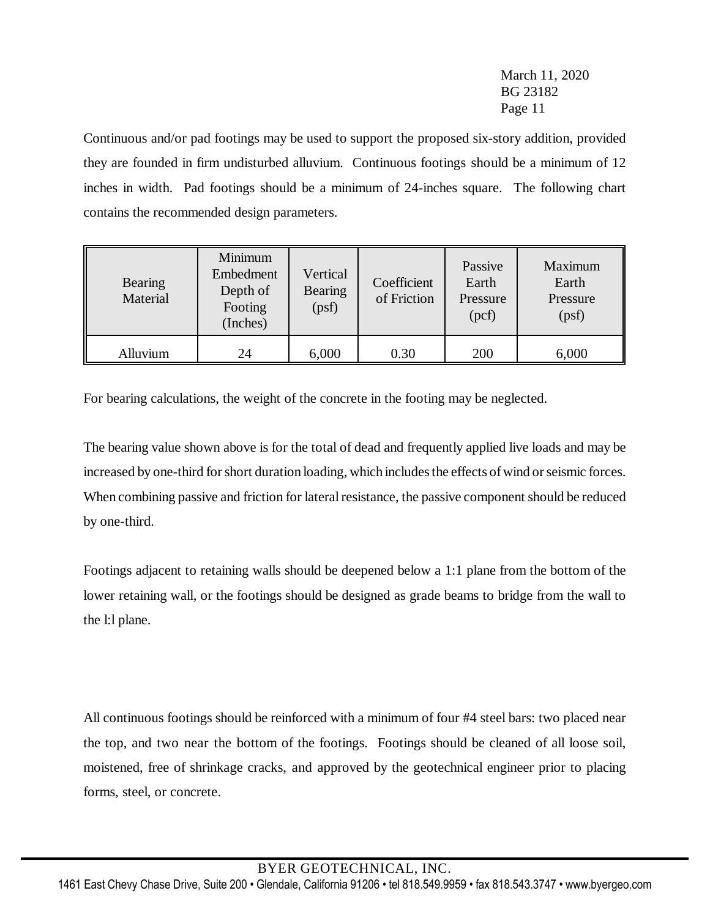Continuous and/or pad footings may be used to support the proposed six-story addition, provided they are founded in firm undisturbed alluvium. Continuous footings should be a minimum of 12 inches in width. Pad footings should be a minimum of 24-inches square. The following chart contains the recommended design parameters.

| <b>Bearing</b><br>Material | Minimum<br>Embedment<br>Depth of<br>Footing<br>(Inches) | Vertical<br><b>Bearing</b><br>(psf) | Coefficient<br>of Friction | Passive<br>Earth<br>Pressure<br>(pcf) | Maximum<br>Earth<br>Pressure<br>(psf) |
|----------------------------|---------------------------------------------------------|-------------------------------------|----------------------------|---------------------------------------|---------------------------------------|
| Alluvium                   | 24                                                      | 6,000                               | 0.30                       | 200                                   | 6,000                                 |

For bearing calculations, the weight of the concrete in the footing may be neglected.

The bearing value shown above is for the total of dead and frequently applied live loads and may be increased by one-third for short duration loading, which includes the effects of wind or seismic forces. When combining passive and friction for lateral resistance, the passive component should be reduced by one-third.

Footings adjacent to retaining walls should be deepened below a 1:1 plane from the bottom of the lower retaining wall, or the footings should be designed as grade beams to bridge from the wall to the l:l plane.

All continuous footings should be reinforced with a minimum of four #4 steel bars: two placed near the top, and two near the bottom of the footings. Footings should be cleaned of all loose soil, moistened, free of shrinkage cracks, and approved by the geotechnical engineer prior to placing forms, steel, or concrete.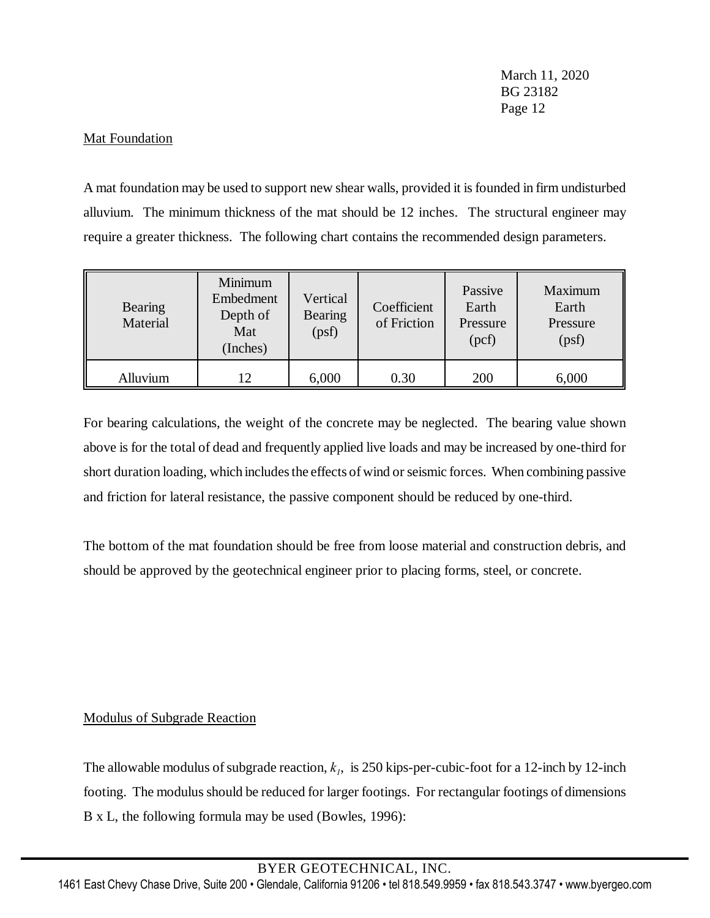### Mat Foundation

A mat foundation may be used to support new shear walls, provided it is founded in firm undisturbed alluvium. The minimum thickness of the mat should be 12 inches. The structural engineer may require a greater thickness. The following chart contains the recommended design parameters.

| <b>Bearing</b><br>Material | Minimum<br>Embedment<br>Depth of<br>Mat<br>(Inches) | Vertical<br><b>Bearing</b><br>(psf) | Coefficient<br>of Friction | Passive<br>Earth<br>Pressure<br>(pcf) | Maximum<br>Earth<br>Pressure<br>(psf) |
|----------------------------|-----------------------------------------------------|-------------------------------------|----------------------------|---------------------------------------|---------------------------------------|
| Alluvium                   | 12                                                  | 6,000                               | 0.30                       | 200                                   | 6,000                                 |

For bearing calculations, the weight of the concrete may be neglected. The bearing value shown above is for the total of dead and frequently applied live loads and may be increased by one-third for short duration loading, which includes the effects of wind or seismic forces. When combining passive and friction for lateral resistance, the passive component should be reduced by one-third.

The bottom of the mat foundation should be free from loose material and construction debris, and should be approved by the geotechnical engineer prior to placing forms, steel, or concrete.

# Modulus of Subgrade Reaction

The allowable modulus of subgrade reaction,  $k_1$ , is 250 kips-per-cubic-foot for a 12-inch by 12-inch footing. The modulus should be reduced for larger footings. For rectangular footings of dimensions B x L, the following formula may be used (Bowles, 1996):

BYER GEOTECHNICAL, INC.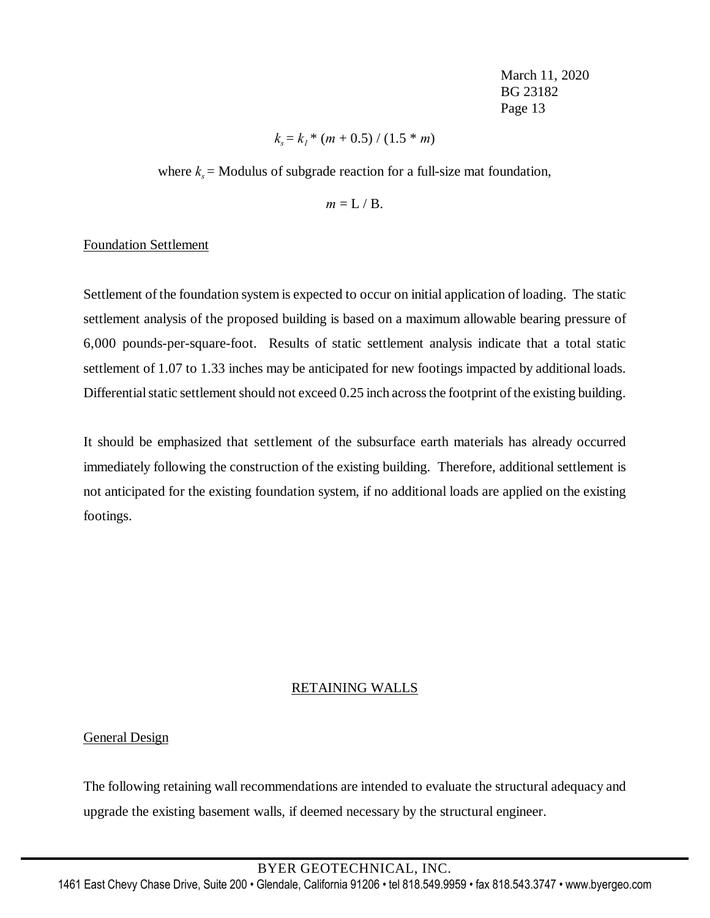$$
k_s = k_l * (m + 0.5) / (1.5 * m)
$$

where  $k_s$  = Modulus of subgrade reaction for a full-size mat foundation,

$$
m = L / B.
$$

### Foundation Settlement

Settlement of the foundation system is expected to occur on initial application of loading. The static settlement analysis of the proposed building is based on a maximum allowable bearing pressure of 6,000 pounds-per-square-foot. Results of static settlement analysis indicate that a total static settlement of 1.07 to 1.33 inches may be anticipated for new footings impacted by additional loads. Differential static settlement should not exceed 0.25 inch across the footprint of the existing building.

It should be emphasized that settlement of the subsurface earth materials has already occurred immediately following the construction of the existing building. Therefore, additional settlement is not anticipated for the existing foundation system, if no additional loads are applied on the existing footings.

### RETAINING WALLS

# General Design

The following retaining wall recommendations are intended to evaluate the structural adequacy and upgrade the existing basement walls, if deemed necessary by the structural engineer.

BYER GEOTECHNICAL, INC.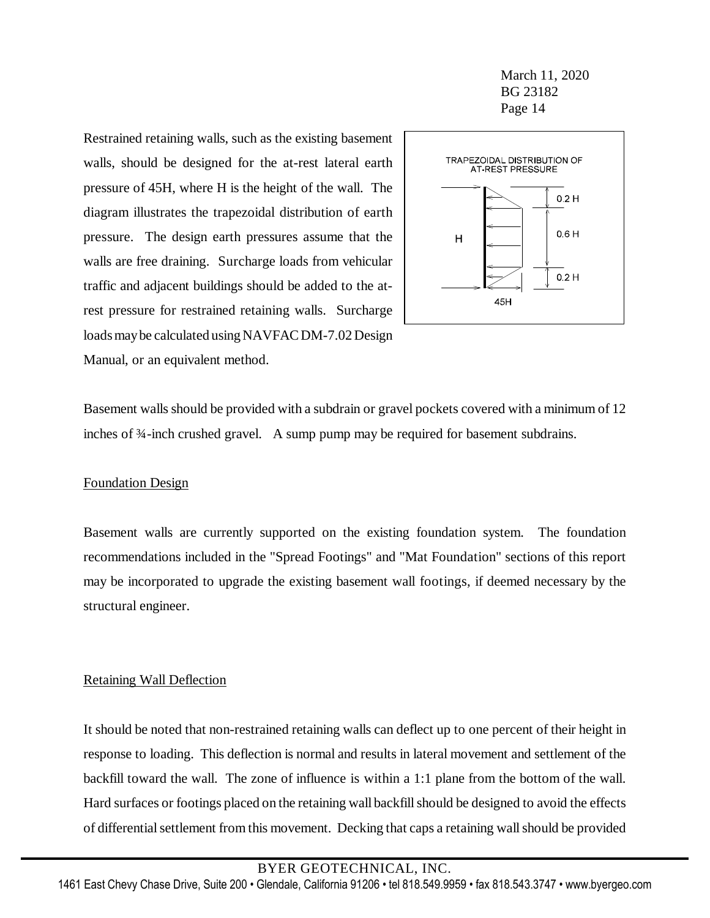Restrained retaining walls, such as the existing basement walls, should be designed for the at-rest lateral earth pressure of 45H, where H is the height of the wall. The diagram illustrates the trapezoidal distribution of earth pressure. The design earth pressures assume that the walls are free draining. Surcharge loads from vehicular traffic and adjacent buildings should be added to the atrest pressure for restrained retaining walls. Surcharge loads may be calculated using NAVFAC DM-7.02 Design Manual, or an equivalent method.



Basement walls should be provided with a subdrain or gravel pockets covered with a minimum of 12 inches of ¾-inch crushed gravel. A sump pump may be required for basement subdrains.

### Foundation Design

Basement walls are currently supported on the existing foundation system. The foundation recommendations included in the "Spread Footings" and "Mat Foundation" sections of this report may be incorporated to upgrade the existing basement wall footings, if deemed necessary by the structural engineer.

### Retaining Wall Deflection

It should be noted that non-restrained retaining walls can deflect up to one percent of their height in response to loading. This deflection is normal and results in lateral movement and settlement of the backfill toward the wall. The zone of influence is within a 1:1 plane from the bottom of the wall. Hard surfaces or footings placed on the retaining wall backfill should be designed to avoid the effects of differentialsettlement from this movement. Decking that caps a retaining wall should be provided

### BYER GEOTECHNICAL, INC.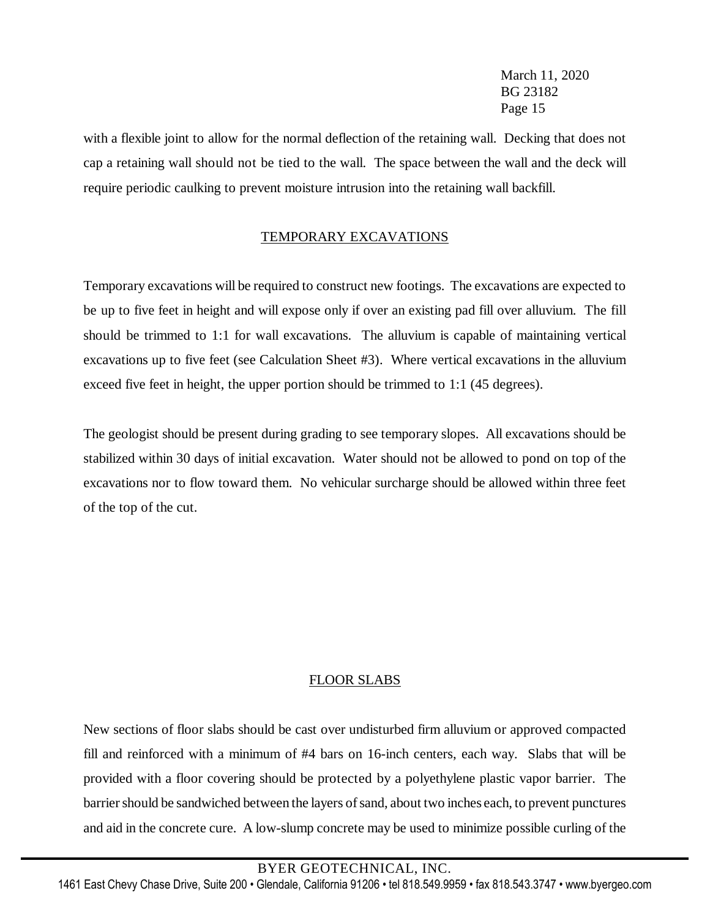with a flexible joint to allow for the normal deflection of the retaining wall. Decking that does not cap a retaining wall should not be tied to the wall. The space between the wall and the deck will require periodic caulking to prevent moisture intrusion into the retaining wall backfill.

# TEMPORARY EXCAVATIONS

Temporary excavations will be required to construct new footings. The excavations are expected to be up to five feet in height and will expose only if over an existing pad fill over alluvium. The fill should be trimmed to 1:1 for wall excavations. The alluvium is capable of maintaining vertical excavations up to five feet (see Calculation Sheet #3). Where vertical excavations in the alluvium exceed five feet in height, the upper portion should be trimmed to 1:1 (45 degrees).

The geologist should be present during grading to see temporary slopes. All excavations should be stabilized within 30 days of initial excavation. Water should not be allowed to pond on top of the excavations nor to flow toward them. No vehicular surcharge should be allowed within three feet of the top of the cut.

# FLOOR SLABS

New sections of floor slabs should be cast over undisturbed firm alluvium or approved compacted fill and reinforced with a minimum of #4 bars on 16-inch centers, each way. Slabs that will be provided with a floor covering should be protected by a polyethylene plastic vapor barrier. The barrier should be sandwiched between the layers of sand, about two inches each, to prevent punctures and aid in the concrete cure. A low-slump concrete may be used to minimize possible curling of the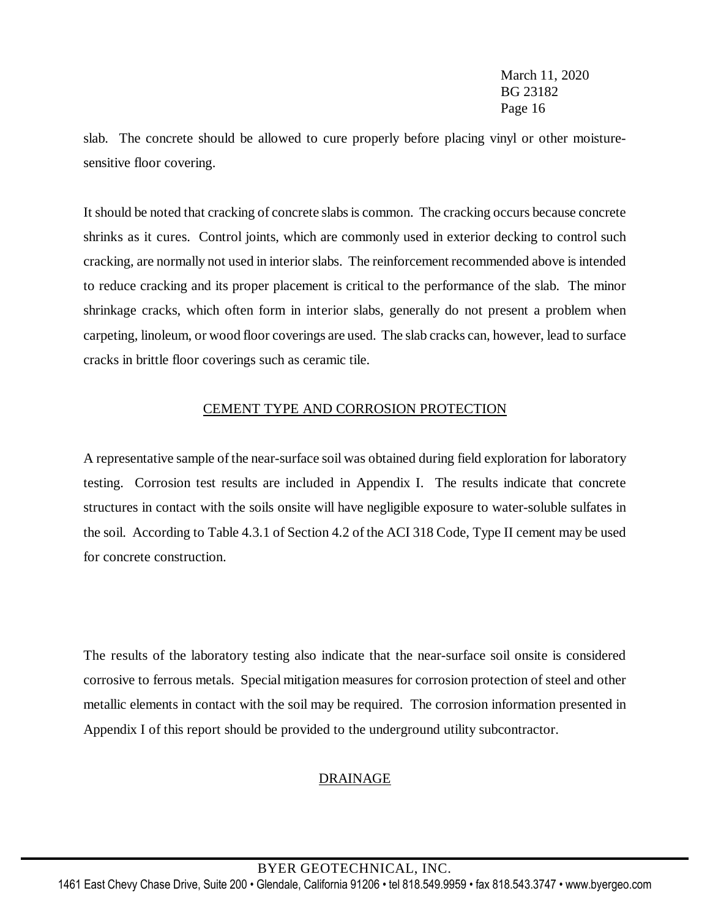slab. The concrete should be allowed to cure properly before placing vinyl or other moisturesensitive floor covering.

It should be noted that cracking of concrete slabsis common. The cracking occurs because concrete shrinks as it cures. Control joints, which are commonly used in exterior decking to control such cracking, are normally not used in interior slabs. The reinforcement recommended above is intended to reduce cracking and its proper placement is critical to the performance of the slab. The minor shrinkage cracks, which often form in interior slabs, generally do not present a problem when carpeting, linoleum, or wood floor coverings are used. The slab cracks can, however, lead to surface cracks in brittle floor coverings such as ceramic tile.

# CEMENT TYPE AND CORROSION PROTECTION

A representative sample of the near-surface soil was obtained during field exploration for laboratory testing. Corrosion test results are included in Appendix I. The results indicate that concrete structures in contact with the soils onsite will have negligible exposure to water-soluble sulfates in the soil. According to Table 4.3.1 of Section 4.2 of the ACI 318 Code, Type II cement may be used for concrete construction.

The results of the laboratory testing also indicate that the near-surface soil onsite is considered corrosive to ferrous metals. Special mitigation measures for corrosion protection of steel and other metallic elements in contact with the soil may be required. The corrosion information presented in Appendix I of this report should be provided to the underground utility subcontractor.

# DRAINAGE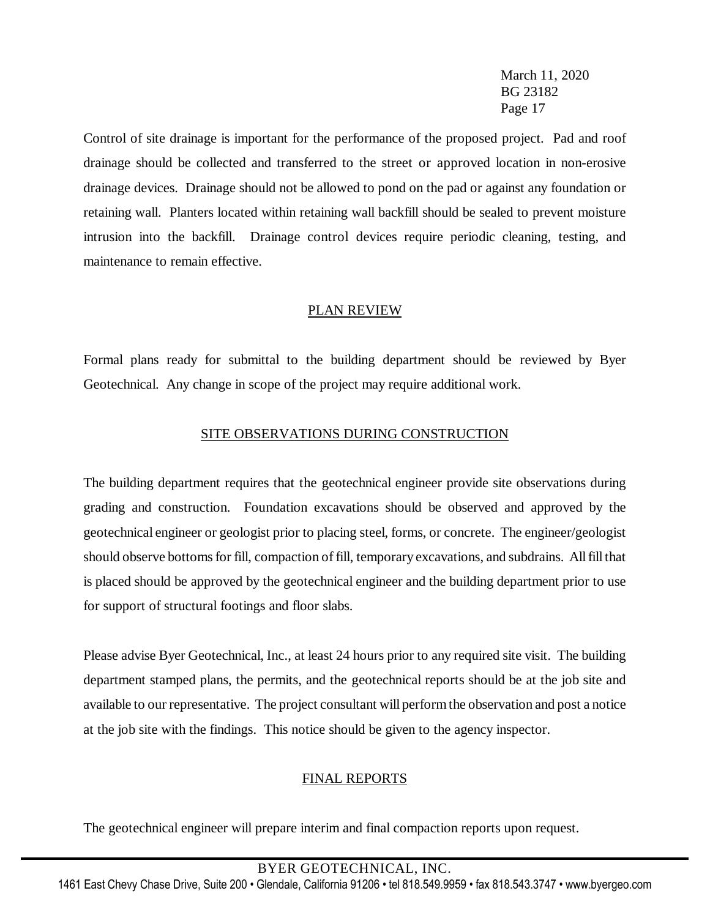Control of site drainage is important for the performance of the proposed project. Pad and roof drainage should be collected and transferred to the street or approved location in non-erosive drainage devices. Drainage should not be allowed to pond on the pad or against any foundation or retaining wall. Planters located within retaining wall backfill should be sealed to prevent moisture intrusion into the backfill. Drainage control devices require periodic cleaning, testing, and maintenance to remain effective.

# PLAN REVIEW

Formal plans ready for submittal to the building department should be reviewed by Byer Geotechnical. Any change in scope of the project may require additional work.

# SITE OBSERVATIONS DURING CONSTRUCTION

The building department requires that the geotechnical engineer provide site observations during grading and construction. Foundation excavations should be observed and approved by the geotechnical engineer or geologist prior to placing steel, forms, or concrete. The engineer/geologist should observe bottoms for fill, compaction of fill, temporary excavations, and subdrains. All fill that is placed should be approved by the geotechnical engineer and the building department prior to use for support of structural footings and floor slabs.

Please advise Byer Geotechnical, Inc., at least 24 hours prior to any required site visit. The building department stamped plans, the permits, and the geotechnical reports should be at the job site and available to our representative. The project consultant will perform the observation and post a notice at the job site with the findings. This notice should be given to the agency inspector.

# FINAL REPORTS

The geotechnical engineer will prepare interim and final compaction reports upon request.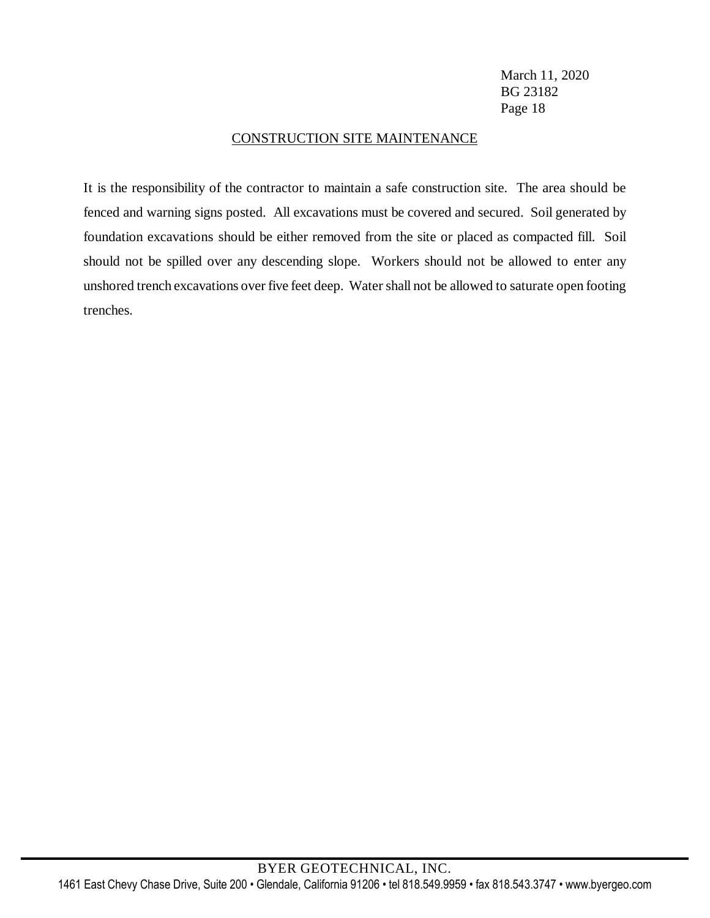### CONSTRUCTION SITE MAINTENANCE

It is the responsibility of the contractor to maintain a safe construction site. The area should be fenced and warning signs posted. All excavations must be covered and secured. Soil generated by foundation excavations should be either removed from the site or placed as compacted fill. Soil should not be spilled over any descending slope. Workers should not be allowed to enter any unshored trench excavations over five feet deep. Water shall not be allowed to saturate open footing trenches.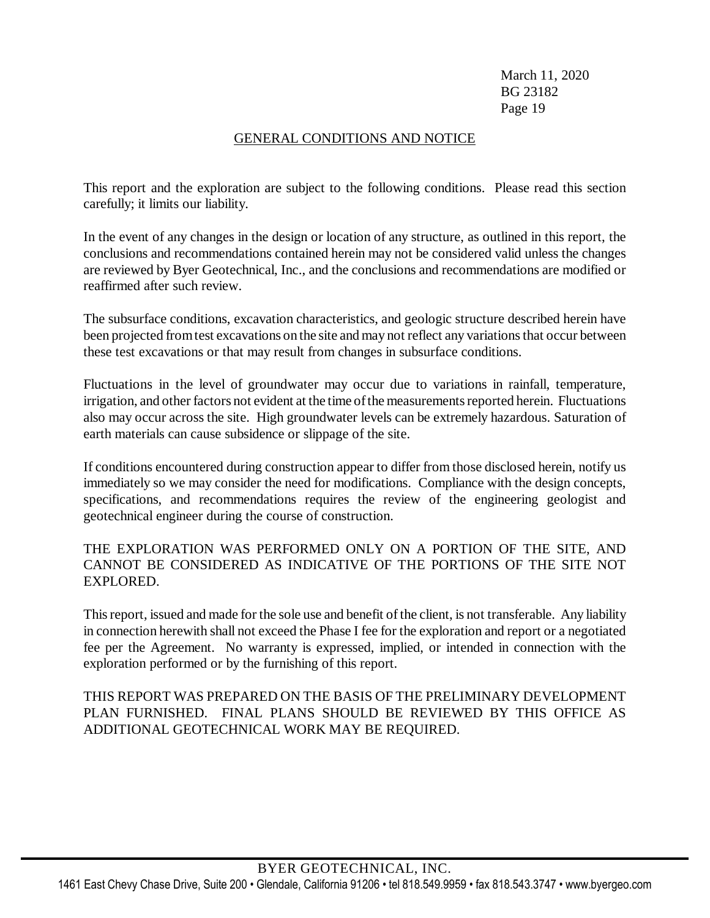# GENERAL CONDITIONS AND NOTICE

This report and the exploration are subject to the following conditions. Please read this section carefully; it limits our liability.

In the event of any changes in the design or location of any structure, as outlined in this report, the conclusions and recommendations contained herein may not be considered valid unless the changes are reviewed by Byer Geotechnical, Inc., and the conclusions and recommendations are modified or reaffirmed after such review.

The subsurface conditions, excavation characteristics, and geologic structure described herein have been projected from test excavations on the site and may not reflect any variations that occur between these test excavations or that may result from changes in subsurface conditions.

Fluctuations in the level of groundwater may occur due to variations in rainfall, temperature, irrigation, and other factors not evident at the time of the measurements reported herein. Fluctuations also may occur across the site. High groundwater levels can be extremely hazardous. Saturation of earth materials can cause subsidence or slippage of the site.

If conditions encountered during construction appear to differ from those disclosed herein, notify us immediately so we may consider the need for modifications. Compliance with the design concepts, specifications, and recommendations requires the review of the engineering geologist and geotechnical engineer during the course of construction.

# THE EXPLORATION WAS PERFORMED ONLY ON A PORTION OF THE SITE, AND CANNOT BE CONSIDERED AS INDICATIVE OF THE PORTIONS OF THE SITE NOT EXPLORED.

This report, issued and made for the sole use and benefit of the client, is not transferable. Any liability in connection herewith shall not exceed the Phase I fee for the exploration and report or a negotiated fee per the Agreement. No warranty is expressed, implied, or intended in connection with the exploration performed or by the furnishing of this report.

# THIS REPORT WAS PREPARED ON THE BASIS OF THE PRELIMINARY DEVELOPMENT PLAN FURNISHED. FINAL PLANS SHOULD BE REVIEWED BY THIS OFFICE AS ADDITIONAL GEOTECHNICAL WORK MAY BE REQUIRED.

# BYER GEOTECHNICAL, INC.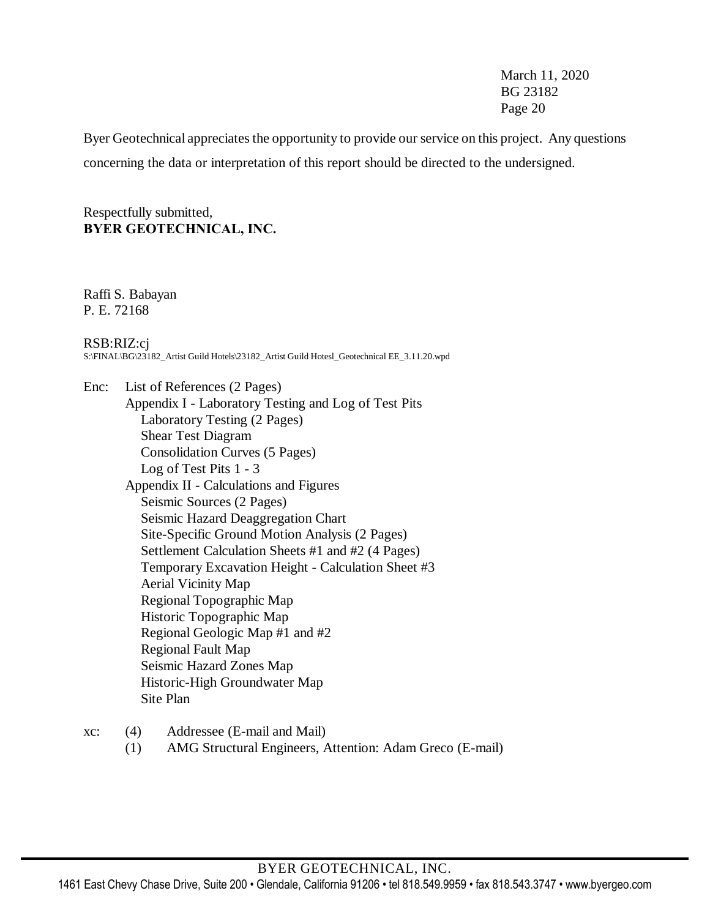Byer Geotechnical appreciates the opportunity to provide our service on this project. Any questions concerning the data or interpretation of this report should be directed to the undersigned.

Respectfully submitted, **BYER GEOTECHNICAL, INC.**

Raffi S. Babayan P. E. 72168

RSB:RIZ:cj S:\FINAL\BG\23182\_Artist Guild Hotels\23182\_Artist Guild Hotesl\_Geotechnical EE\_3.11.20.wpd

Enc: List of References (2 Pages) Appendix I - Laboratory Testing and Log of Test Pits Laboratory Testing (2 Pages) Shear Test Diagram Consolidation Curves (5 Pages) Log of Test Pits 1 - 3 Appendix II - Calculations and Figures Seismic Sources (2 Pages) Seismic Hazard Deaggregation Chart Site-Specific Ground Motion Analysis (2 Pages) Settlement Calculation Sheets #1 and #2 (4 Pages) Temporary Excavation Height - Calculation Sheet #3 Aerial Vicinity Map Regional Topographic Map Historic Topographic Map Regional Geologic Map #1 and #2 Regional Fault Map Seismic Hazard Zones Map Historic-High Groundwater Map Site Plan

- xc: (4) Addressee (E-mail and Mail)
	- (1) AMG Structural Engineers, Attention: Adam Greco (E-mail)

#### BYER GEOTECHNICAL, INC.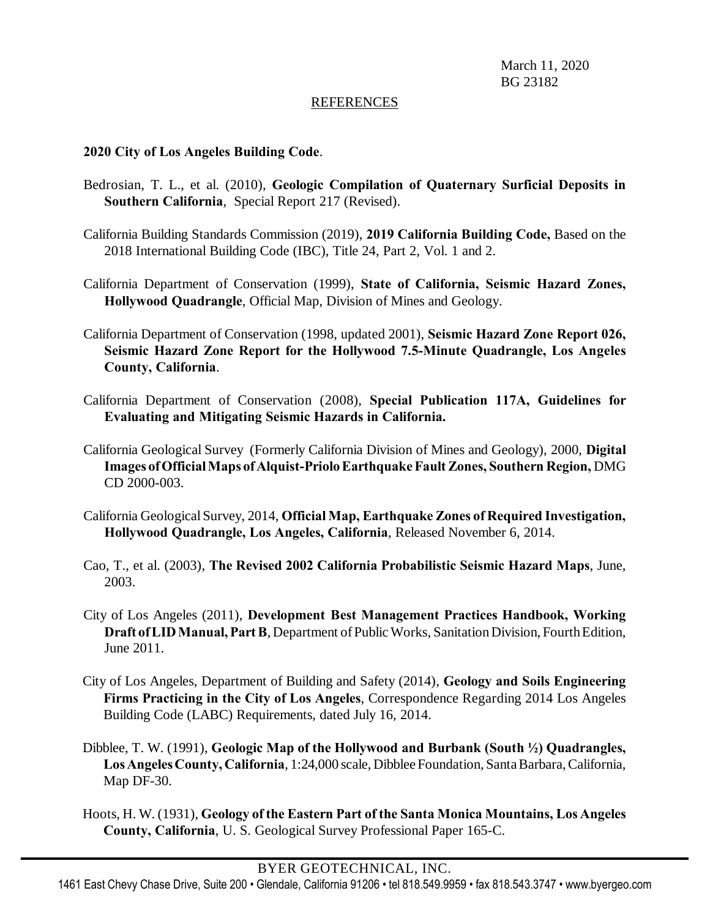#### REFERENCES

### **2020 City of Los Angeles Building Code**.

- Bedrosian, T. L., et al. (2010), **Geologic Compilation of Quaternary Surficial Deposits in Southern California**, Special Report 217 (Revised).
- California Building Standards Commission (2019), **2019 California Building Code,** Based on the 2018 International Building Code (IBC), Title 24, Part 2, Vol. 1 and 2.
- California Department of Conservation (1999), **State of California, Seismic Hazard Zones, Hollywood Quadrangle**, Official Map, Division of Mines and Geology.
- California Department of Conservation (1998, updated 2001), **Seismic Hazard Zone Report 026, Seismic Hazard Zone Report for the Hollywood 7.5-Minute Quadrangle, Los Angeles County, California**.
- California Department of Conservation (2008), **Special Publication 117A, Guidelines for Evaluating and Mitigating Seismic Hazards in California.**
- California Geological Survey (Formerly California Division of Mines and Geology), 2000, **Digital Images ofOfficialMaps ofAlquist-PrioloEarthquakeFault Zones, Southern Region,** DMG CD 2000-003.
- California GeologicalSurvey, 2014, **Official Map, Earthquake Zones of Required Investigation, Hollywood Quadrangle, Los Angeles, California**, Released November 6, 2014.
- Cao, T., et al. (2003), **The Revised 2002 California Probabilistic Seismic Hazard Maps**, June, 2003.
- City of Los Angeles (2011), **Development Best Management Practices Handbook, Working Draft of LID Manual, Part B**, Department of Public Works, Sanitation Division, Fourth Edition, June 2011.
- City of Los Angeles, Department of Building and Safety (2014), **Geology and Soils Engineering Firms Practicing in the City of Los Angeles**, Correspondence Regarding 2014 Los Angeles Building Code (LABC) Requirements, dated July 16, 2014.
- Dibblee, T. W. (1991), **Geologic Map of the Hollywood and Burbank (South ½) Quadrangles, LosAngelesCounty, California**, 1:24,000 scale, Dibblee Foundation, Santa Barbara, California, Map DF-30.
- Hoots, H. W. (1931), **Geology of the Eastern Part of the Santa Monica Mountains, Los Angeles County, California**, U. S. Geological Survey Professional Paper 165-C.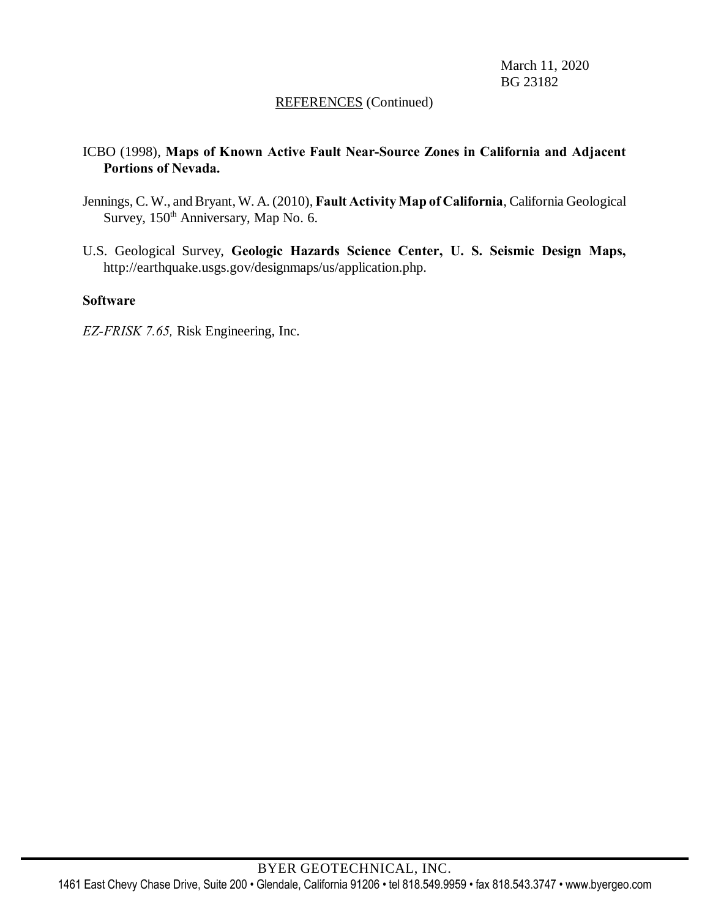### REFERENCES (Continued)

# ICBO (1998), **Maps of Known Active Fault Near-Source Zones in California and Adjacent Portions of Nevada.**

- Jennings, C. W., andBryant, W. A. (2010), **Fault Activity Map of California**, California Geological Survey, 150<sup>th</sup> Anniversary, Map No. 6.
- U.S. Geological Survey, **Geologic Hazards Science Center, U. S. Seismic Design Maps,** http://earthquake.usgs.gov/designmaps/us/application.php.

### **Software**

*EZ-FRISK 7.65,* Risk Engineering, Inc.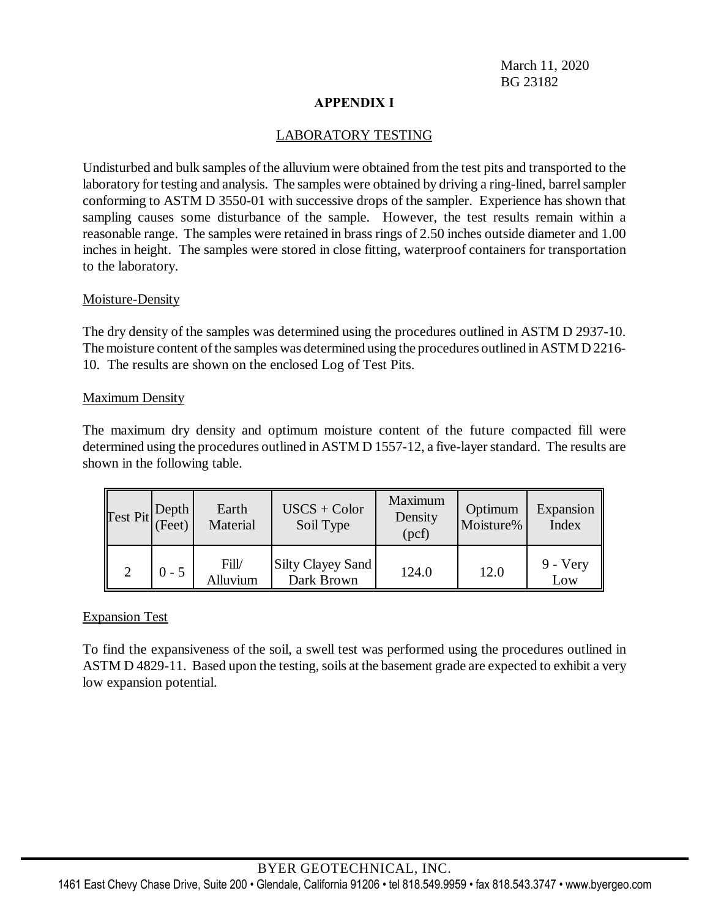# **APPENDIX I**

# LABORATORY TESTING

Undisturbed and bulk samples of the alluvium were obtained from the test pits and transported to the laboratory for testing and analysis. The samples were obtained by driving a ring-lined, barrel sampler conforming to ASTM D 3550-01 with successive drops of the sampler. Experience has shown that sampling causes some disturbance of the sample. However, the test results remain within a reasonable range. The samples were retained in brass rings of 2.50 inches outside diameter and 1.00 inches in height. The samples were stored in close fitting, waterproof containers for transportation to the laboratory.

### Moisture-Density

The dry density of the samples was determined using the procedures outlined in ASTM D 2937-10. The moisture content of the samples was determined using the procedures outlined in ASTM D 2216-10. The results are shown on the enclosed Log of Test Pits.

### Maximum Density

The maximum dry density and optimum moisture content of the future compacted fill were determined using the procedures outlined in ASTM D 1557-12, a five-layer standard. The results are shown in the following table.

| $\left \text{Test Pit}\right \left \text{Depth}\atop(\text{Feet})\right $ |         | Earth<br>Material | $USCS + Color$<br>Soil Type     | Maximum<br>Density<br>(pcf) | Optimum<br>Moisture% | Expansion<br>Index |
|---------------------------------------------------------------------------|---------|-------------------|---------------------------------|-----------------------------|----------------------|--------------------|
|                                                                           | $0 - 5$ | Fill/<br>Alluvium | Silty Clayey Sand<br>Dark Brown | 124.0                       | 12.0                 | $9 - Very$<br>Low  |

# Expansion Test

To find the expansiveness of the soil, a swell test was performed using the procedures outlined in ASTM D 4829-11. Based upon the testing, soils at the basement grade are expected to exhibit a very low expansion potential.

# BYER GEOTECHNICAL, INC.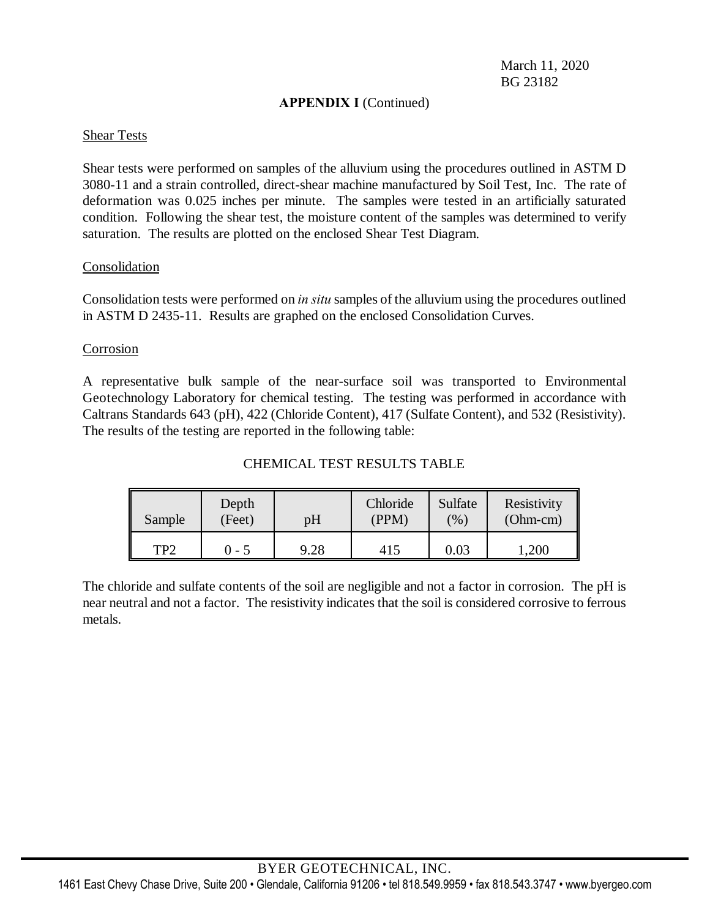### **APPENDIX I** (Continued)

### Shear Tests

Shear tests were performed on samples of the alluvium using the procedures outlined in ASTM D 3080-11 and a strain controlled, direct-shear machine manufactured by Soil Test, Inc. The rate of deformation was 0.025 inches per minute. The samples were tested in an artificially saturated condition. Following the shear test, the moisture content of the samples was determined to verify saturation. The results are plotted on the enclosed Shear Test Diagram.

### **Consolidation**

Consolidation tests were performed on *in situ* samples of the alluvium using the procedures outlined in ASTM D 2435-11. Results are graphed on the enclosed Consolidation Curves.

### Corrosion

A representative bulk sample of the near-surface soil was transported to Environmental Geotechnology Laboratory for chemical testing. The testing was performed in accordance with Caltrans Standards 643 (pH), 422 (Chloride Content), 417 (Sulfate Content), and 532 (Resistivity). The results of the testing are reported in the following table:

### CHEMICAL TEST RESULTS TABLE

| Sample | Depth<br>(Feet) | pH   | Chloride<br>(PPM) | Sulfate<br>$\frac{6}{90}$ | Resistivity<br>$(Ohm-cm)$ |
|--------|-----------------|------|-------------------|---------------------------|---------------------------|
| TP2    | 0 - 5           | 9.28 | 415               | 0.03                      | ,200                      |

The chloride and sulfate contents of the soil are negligible and not a factor in corrosion. The pH is near neutral and not a factor. The resistivity indicates that the soil is considered corrosive to ferrous metals.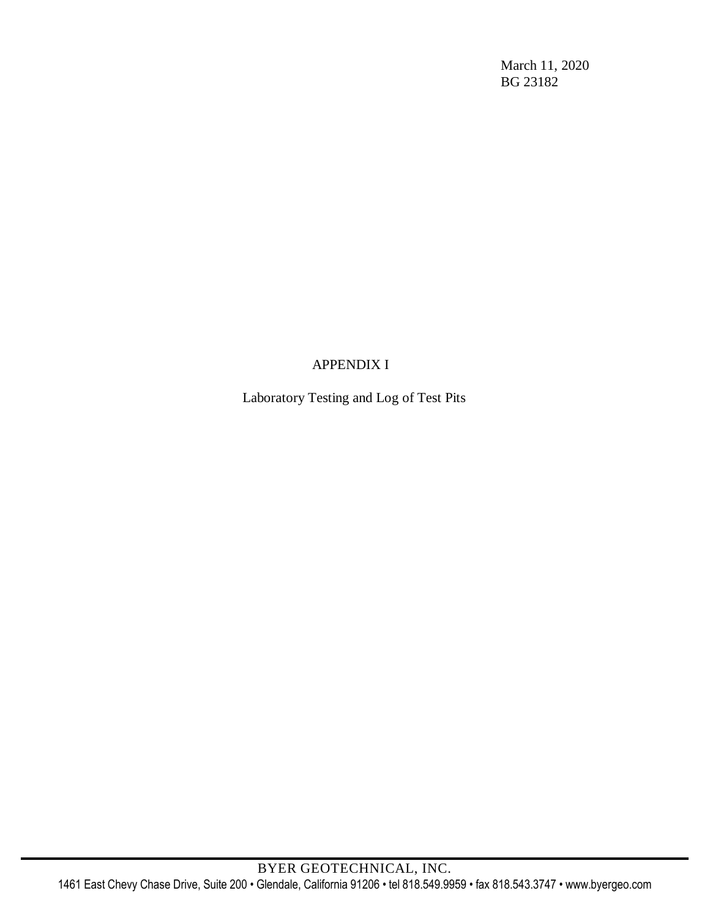# APPENDIX I

Laboratory Testing and Log of Test Pits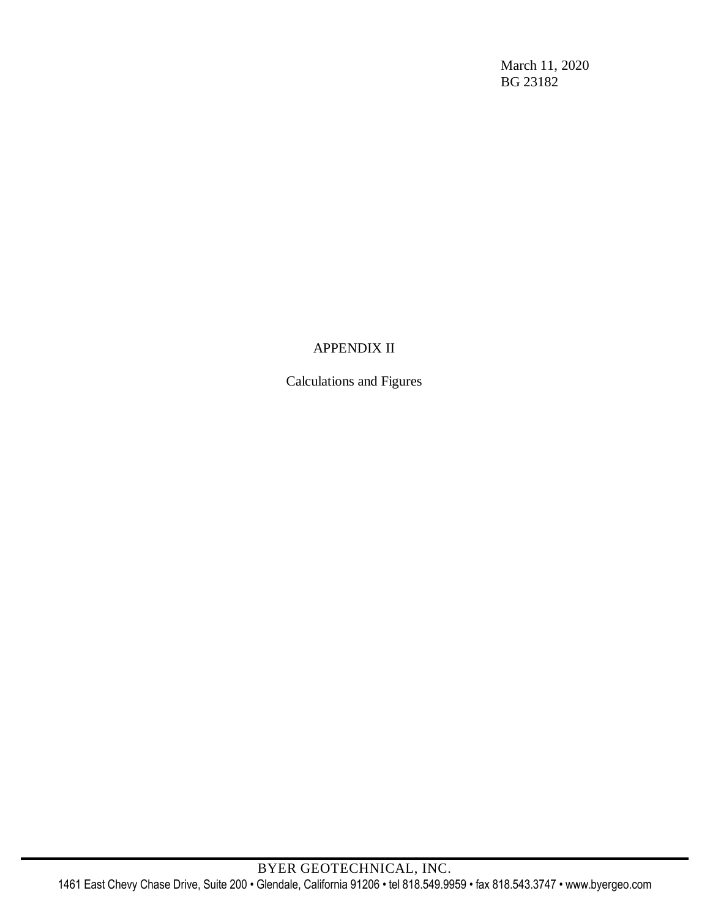# APPENDIX II

Calculations and Figures